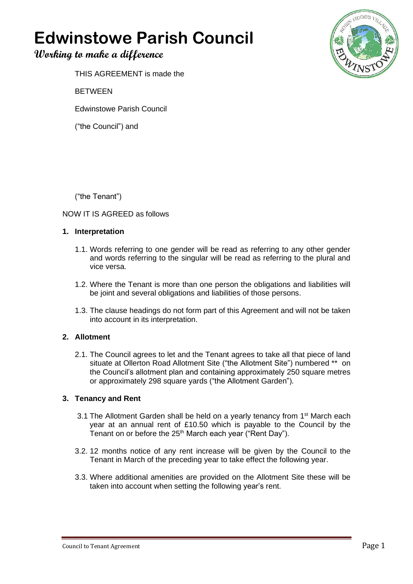# **Edwinstowe Parish Council**

# **Working to make a difference**



THIS AGREEMENT is made the

BETWEEN

Edwinstowe Parish Council

("the Council") and

("the Tenant")

# NOW IT IS AGREED as follows

# **1. Interpretation**

- 1.1. Words referring to one gender will be read as referring to any other gender and words referring to the singular will be read as referring to the plural and vice versa.
- 1.2. Where the Tenant is more than one person the obligations and liabilities will be joint and several obligations and liabilities of those persons.
- 1.3. The clause headings do not form part of this Agreement and will not be taken into account in its interpretation.

# **2. Allotment**

2.1. The Council agrees to let and the Tenant agrees to take all that piece of land situate at Ollerton Road Allotment Site ("the Allotment Site") numbered \*\* on the Council's allotment plan and containing approximately 250 square metres or approximately 298 square yards ("the Allotment Garden").

# **3. Tenancy and Rent**

- 3.1 The Allotment Garden shall be held on a yearly tenancy from 1<sup>st</sup> March each year at an annual rent of £10.50 which is payable to the Council by the Tenant on or before the 25<sup>th</sup> March each year ("Rent Day").
- 3.2. 12 months notice of any rent increase will be given by the Council to the Tenant in March of the preceding year to take effect the following year.
- 3.3. Where additional amenities are provided on the Allotment Site these will be taken into account when setting the following year's rent.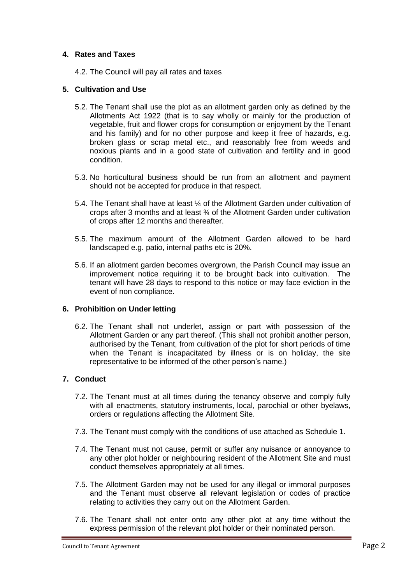#### **4. Rates and Taxes**

4.2. The Council will pay all rates and taxes

#### **5. Cultivation and Use**

- 5.2. The Tenant shall use the plot as an allotment garden only as defined by the Allotments Act 1922 (that is to say wholly or mainly for the production of vegetable, fruit and flower crops for consumption or enjoyment by the Tenant and his family) and for no other purpose and keep it free of hazards, e.g. broken glass or scrap metal etc., and reasonably free from weeds and noxious plants and in a good state of cultivation and fertility and in good condition.
- 5.3. No horticultural business should be run from an allotment and payment should not be accepted for produce in that respect.
- 5.4. The Tenant shall have at least ¼ of the Allotment Garden under cultivation of crops after 3 months and at least ¾ of the Allotment Garden under cultivation of crops after 12 months and thereafter.
- 5.5. The maximum amount of the Allotment Garden allowed to be hard landscaped e.g. patio, internal paths etc is 20%.
- 5.6. If an allotment garden becomes overgrown, the Parish Council may issue an improvement notice requiring it to be brought back into cultivation. The tenant will have 28 days to respond to this notice or may face eviction in the event of non compliance.

#### **6. Prohibition on Under letting**

6.2. The Tenant shall not underlet, assign or part with possession of the Allotment Garden or any part thereof. (This shall not prohibit another person, authorised by the Tenant, from cultivation of the plot for short periods of time when the Tenant is incapacitated by illness or is on holiday, the site representative to be informed of the other person's name.)

# **7. Conduct**

- 7.2. The Tenant must at all times during the tenancy observe and comply fully with all enactments, statutory instruments, local, parochial or other byelaws, orders or regulations affecting the Allotment Site.
- 7.3. The Tenant must comply with the conditions of use attached as Schedule 1.
- 7.4. The Tenant must not cause, permit or suffer any nuisance or annoyance to any other plot holder or neighbouring resident of the Allotment Site and must conduct themselves appropriately at all times.
- 7.5. The Allotment Garden may not be used for any illegal or immoral purposes and the Tenant must observe all relevant legislation or codes of practice relating to activities they carry out on the Allotment Garden.
- 7.6. The Tenant shall not enter onto any other plot at any time without the express permission of the relevant plot holder or their nominated person.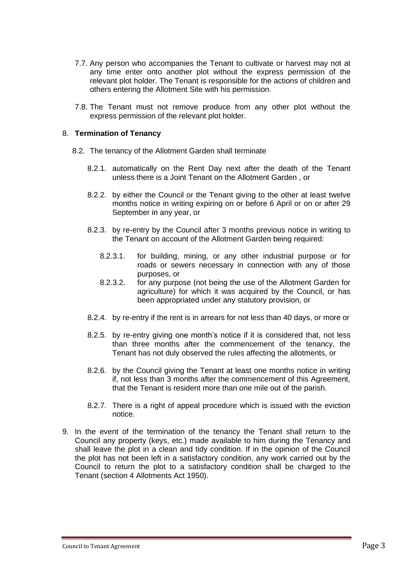- 7.7. Any person who accompanies the Tenant to cultivate or harvest may not at any time enter onto another plot without the express permission of the relevant plot holder. The Tenant is responsible for the actions of children and others entering the Allotment Site with his permission.
- 7.8. The Tenant must not remove produce from any other plot without the express permission of the relevant plot holder.

#### 8. **Termination of Tenancy**

- 8.2. The tenancy of the Allotment Garden shall terminate
	- 8.2.1. automatically on the Rent Day next after the death of the Tenant unless there is a Joint Tenant on the Allotment Garden , or
	- 8.2.2. by either the Council or the Tenant giving to the other at least twelve months notice in writing expiring on or before 6 April or on or after 29 September in any year, or
	- 8.2.3. by re-entry by the Council after 3 months previous notice in writing to the Tenant on account of the Allotment Garden being required:
		- 8.2.3.1. for building, mining, or any other industrial purpose or for roads or sewers necessary in connection with any of those purposes, or
		- 8.2.3.2. for any purpose (not being the use of the Allotment Garden for agriculture) for which it was acquired by the Council, or has been appropriated under any statutory provision, or
	- 8.2.4. by re-entry if the rent is in arrears for not less than 40 days, or more or
	- 8.2.5. by re-entry giving one month's notice if it is considered that, not less than three months after the commencement of the tenancy, the Tenant has not duly observed the rules affecting the allotments, or
	- 8.2.6. by the Council giving the Tenant at least one months notice in writing if, not less than 3 months after the commencement of this Agreement, that the Tenant is resident more than one mile out of the parish.
	- 8.2.7. There is a right of appeal procedure which is issued with the eviction notice.
- 9. In the event of the termination of the tenancy the Tenant shall return to the Council any property (keys, etc.) made available to him during the Tenancy and shall leave the plot in a clean and tidy condition. If in the opinion of the Council the plot has not been left in a satisfactory condition, any work carried out by the Council to return the plot to a satisfactory condition shall be charged to the Tenant (section 4 Allotments Act 1950).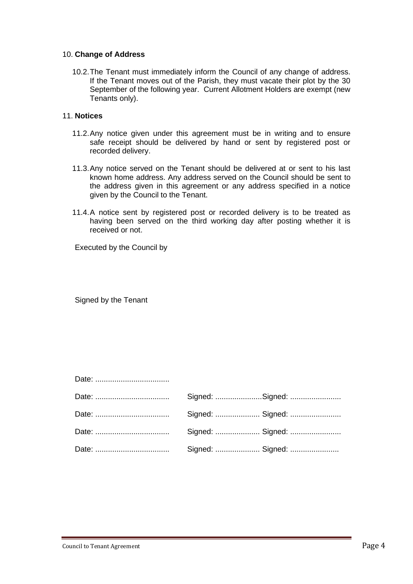#### 10. **Change of Address**

10.2.The Tenant must immediately inform the Council of any change of address. If the Tenant moves out of the Parish, they must vacate their plot by the 30 September of the following year. Current Allotment Holders are exempt (new Tenants only).

#### 11. **Notices**

- 11.2.Any notice given under this agreement must be in writing and to ensure safe receipt should be delivered by hand or sent by registered post or recorded delivery.
- 11.3.Any notice served on the Tenant should be delivered at or sent to his last known home address. Any address served on the Council should be sent to the address given in this agreement or any address specified in a notice given by the Council to the Tenant.
- 11.4.A notice sent by registered post or recorded delivery is to be treated as having been served on the third working day after posting whether it is received or not.

Executed by the Council by

Signed by the Tenant

| Signed:  Signed: |
|------------------|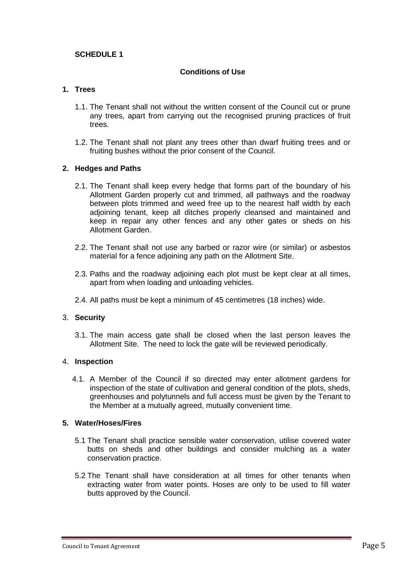# **SCHEDULE 1**

#### **Conditions of Use**

# **1. Trees**

- 1.1. The Tenant shall not without the written consent of the Council cut or prune any trees, apart from carrying out the recognised pruning practices of fruit trees.
- 1.2. The Tenant shall not plant any trees other than dwarf fruiting trees and or fruiting bushes without the prior consent of the Council.

#### **2. Hedges and Paths**

- 2.1. The Tenant shall keep every hedge that forms part of the boundary of his Allotment Garden properly cut and trimmed, all pathways and the roadway between plots trimmed and weed free up to the nearest half width by each adjoining tenant, keep all ditches properly cleansed and maintained and keep in repair any other fences and any other gates or sheds on his Allotment Garden.
- 2.2. The Tenant shall not use any barbed or razor wire (or similar) or asbestos material for a fence adjoining any path on the Allotment Site.
- 2.3. Paths and the roadway adjoining each plot must be kept clear at all times, apart from when loading and unloading vehicles.
- 2.4. All paths must be kept a minimum of 45 centimetres (18 inches) wide.

#### 3. **Security**

3.1. The main access gate shall be closed when the last person leaves the Allotment Site. The need to lock the gate will be reviewed periodically.

#### 4. **Inspection**

4.1. A Member of the Council if so directed may enter allotment gardens for inspection of the state of cultivation and general condition of the plots, sheds, greenhouses and polytunnels and full access must be given by the Tenant to the Member at a mutually agreed, mutually convenient time.

#### **5. Water/Hoses/Fires**

- 5.1 The Tenant shall practice sensible water conservation, utilise covered water butts on sheds and other buildings and consider mulching as a water conservation practice.
- 5.2 The Tenant shall have consideration at all times for other tenants when extracting water from water points. Hoses are only to be used to fill water butts approved by the Council.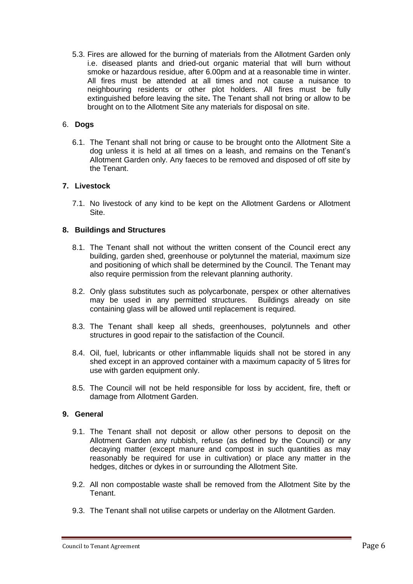5.3. Fires are allowed for the burning of materials from the Allotment Garden only i.e. diseased plants and dried-out organic material that will burn without smoke or hazardous residue, after 6.00pm and at a reasonable time in winter. All fires must be attended at all times and not cause a nuisance to neighbouring residents or other plot holders. All fires must be fully extinguished before leaving the site**.** The Tenant shall not bring or allow to be brought on to the Allotment Site any materials for disposal on site.

#### 6. **Dogs**

6.1. The Tenant shall not bring or cause to be brought onto the Allotment Site a dog unless it is held at all times on a leash, and remains on the Tenant's Allotment Garden only. Any faeces to be removed and disposed of off site by the Tenant.

#### **7. Livestock**

7.1. No livestock of any kind to be kept on the Allotment Gardens or Allotment Site.

#### **8. Buildings and Structures**

- 8.1. The Tenant shall not without the written consent of the Council erect any building, garden shed, greenhouse or polytunnel the material, maximum size and positioning of which shall be determined by the Council. The Tenant may also require permission from the relevant planning authority.
- 8.2. Only glass substitutes such as polycarbonate, perspex or other alternatives may be used in any permitted structures. Buildings already on site containing glass will be allowed until replacement is required.
- 8.3. The Tenant shall keep all sheds, greenhouses, polytunnels and other structures in good repair to the satisfaction of the Council.
- 8.4. Oil, fuel, lubricants or other inflammable liquids shall not be stored in any shed except in an approved container with a maximum capacity of 5 litres for use with garden equipment only.
- 8.5. The Council will not be held responsible for loss by accident, fire, theft or damage from Allotment Garden.

#### **9. General**

- 9.1. The Tenant shall not deposit or allow other persons to deposit on the Allotment Garden any rubbish, refuse (as defined by the Council) or any decaying matter (except manure and compost in such quantities as may reasonably be required for use in cultivation) or place any matter in the hedges, ditches or dykes in or surrounding the Allotment Site.
- 9.2. All non compostable waste shall be removed from the Allotment Site by the Tenant.
- 9.3. The Tenant shall not utilise carpets or underlay on the Allotment Garden.